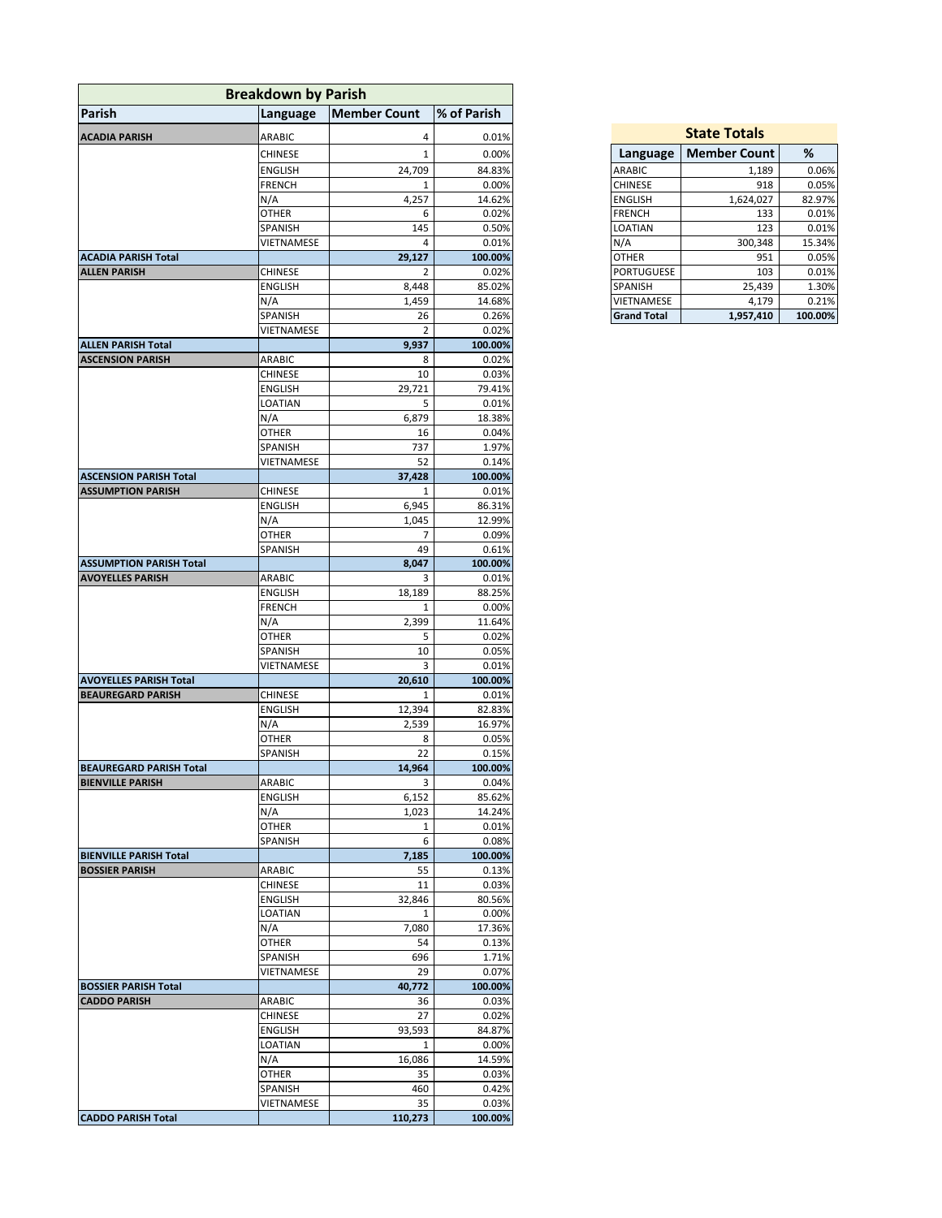| <b>Breakdown by Parish</b>                                          |                         |                  |
|---------------------------------------------------------------------|-------------------------|------------------|
| Parish<br>Language                                                  | <b>Member Count</b>     | % of Parish      |
| <b>ACADIA PARISH</b><br>ARABIC                                      | 4                       | 0.01%            |
| <b>CHINESE</b>                                                      | $\mathbf{1}$            | 0.00%            |
| <b>ENGLISH</b>                                                      | 24,709                  | 84.83%           |
| <b>FRENCH</b>                                                       | 1                       | 0.00%            |
| N/A                                                                 | 4,257                   | 14.62%           |
| <b>OTHER</b>                                                        | 6                       | 0.02%            |
| SPANISH                                                             | 145                     | 0.50%            |
| VIETNAMESE                                                          | 4                       | 0.01%            |
| <b>ACADIA PARISH Total</b>                                          | 29,127                  | 100.00%          |
| <b>CHINESE</b><br><b>ALLEN PARISH</b>                               | $\overline{2}$          | 0.02%            |
| ENGLISH                                                             | 8,448                   | 85.02%           |
| N/A                                                                 | 1,459                   | 14.68%           |
| SPANISH                                                             | 26                      | 0.26%            |
| VIETNAMESE                                                          | $\overline{2}$<br>9,937 | 0.02%<br>100.00% |
| <b>ALLEN PARISH Total</b><br><b>ASCENSION PARISH</b><br>ARABIC      | 8                       | 0.02%            |
| <b>CHINESE</b>                                                      | 10                      | 0.03%            |
| ENGLISH                                                             | 29,721                  | 79.41%           |
| LOATIAN                                                             | 5                       | 0.01%            |
| N/A                                                                 | 6,879                   | 18.38%           |
| OTHER                                                               | 16                      | 0.04%            |
| SPANISH                                                             | 737                     | 1.97%            |
| VIETNAMESE                                                          | 52                      | 0.14%            |
| <b>ASCENSION PARISH Total</b>                                       | 37,428                  | 100.00%          |
| <b>CHINESE</b><br><b>ASSUMPTION PARISH</b>                          | 1                       | 0.01%            |
| <b>ENGLISH</b>                                                      | 6,945                   | 86.31%           |
| N/A                                                                 | 1,045                   | 12.99%           |
| <b>OTHER</b>                                                        | 7                       | 0.09%            |
| SPANISH                                                             | 49                      | 0.61%            |
| <b>ASSUMPTION PARISH Total</b><br>ARABIC<br><b>AVOYELLES PARISH</b> | 8,047<br>3              | 100.00%<br>0.01% |
| <b>ENGLISH</b>                                                      | 18,189                  | 88.25%           |
| <b>FRENCH</b>                                                       | 1                       | 0.00%            |
| N/A                                                                 | 2,399                   | 11.64%           |
| <b>OTHER</b>                                                        | 5                       | 0.02%            |
| SPANISH                                                             | 10                      | 0.05%            |
| VIETNAMESE                                                          | 3                       | 0.01%            |
| <b>AVOYELLES PARISH Total</b>                                       | 20,610                  | 100.00%          |
| CHINESE<br><b>BEAUREGARD PARISH</b>                                 | 1                       | 0.01%            |
| ENGLISH                                                             | 12,394                  | 82.83%           |
| N/A                                                                 | 2,539                   | 16.97%           |
| <b>OTHER</b>                                                        | 8                       | 0.05%            |
| SPANISH                                                             | 22                      | 0.15%            |
| <b>BEAUREGARD PARISH Total</b><br><b>BIENVILLE PARISH</b><br>ARABIC | 14,964<br>3             | 100.00%<br>0.04% |
| <b>ENGLISH</b>                                                      | 6,152                   | 85.62%           |
| N/A                                                                 | 1,023                   | 14.24%           |
| <b>OTHER</b>                                                        | $\mathbf{1}$            | 0.01%            |
| SPANISH                                                             | 6                       | 0.08%            |
| <b>BIENVILLE PARISH Total</b>                                       | 7,185                   | 100.00%          |
| <b>BOSSIER PARISH</b><br>ARABIC                                     | 55                      | 0.13%            |
| <b>CHINESE</b>                                                      | 11                      | 0.03%            |
| <b>ENGLISH</b>                                                      | 32,846                  | 80.56%           |
| LOATIAN                                                             | $\mathbf{1}$            | 0.00%            |
| N/A                                                                 | 7,080                   | 17.36%           |
| <b>OTHER</b>                                                        | 54                      | 0.13%            |
| SPANISH                                                             | 696                     | 1.71%            |
| VIETNAMESE                                                          | 29                      | 0.07%            |
| <b>BOSSIER PARISH Total</b>                                         | 40,772                  | 100.00%          |
| <b>CADDO PARISH</b><br>ARABIC                                       | 36                      | 0.03%            |
| <b>CHINESE</b><br><b>ENGLISH</b>                                    | 27<br>93,593            | 0.02%<br>84.87%  |
| LOATIAN                                                             | 1                       | 0.00%            |
| N/A                                                                 | 16,086                  | 14.59%           |
| OTHER                                                               | 35                      | 0.03%            |
| SPANISH                                                             | 460                     | 0.42%            |
| VIETNAMESE                                                          | 35                      | 0.03%            |
| <b>CADDO PARISH Total</b>                                           | 110,273                 | 100.00%          |

| <b>State Totals</b> |                     |         |  |  |
|---------------------|---------------------|---------|--|--|
| Language            | <b>Member Count</b> | %       |  |  |
| <b>ARABIC</b>       | 1,189               | 0.06%   |  |  |
| <b>CHINESE</b>      | 918                 | 0.05%   |  |  |
| <b>ENGLISH</b>      | 1,624,027           | 82.97%  |  |  |
| <b>FRENCH</b>       | 133                 | 0.01%   |  |  |
| <b>LOATIAN</b>      | 123                 | 0.01%   |  |  |
| N/A                 | 300,348             | 15.34%  |  |  |
| <b>OTHER</b>        | 951                 | 0.05%   |  |  |
| <b>PORTUGUESE</b>   | 103                 | 0.01%   |  |  |
| <b>SPANISH</b>      | 25,439              | 1.30%   |  |  |
| VIETNAMESE          | 4.179               | 0.21%   |  |  |
| <b>Grand Total</b>  | 1,957,410           | 100.00% |  |  |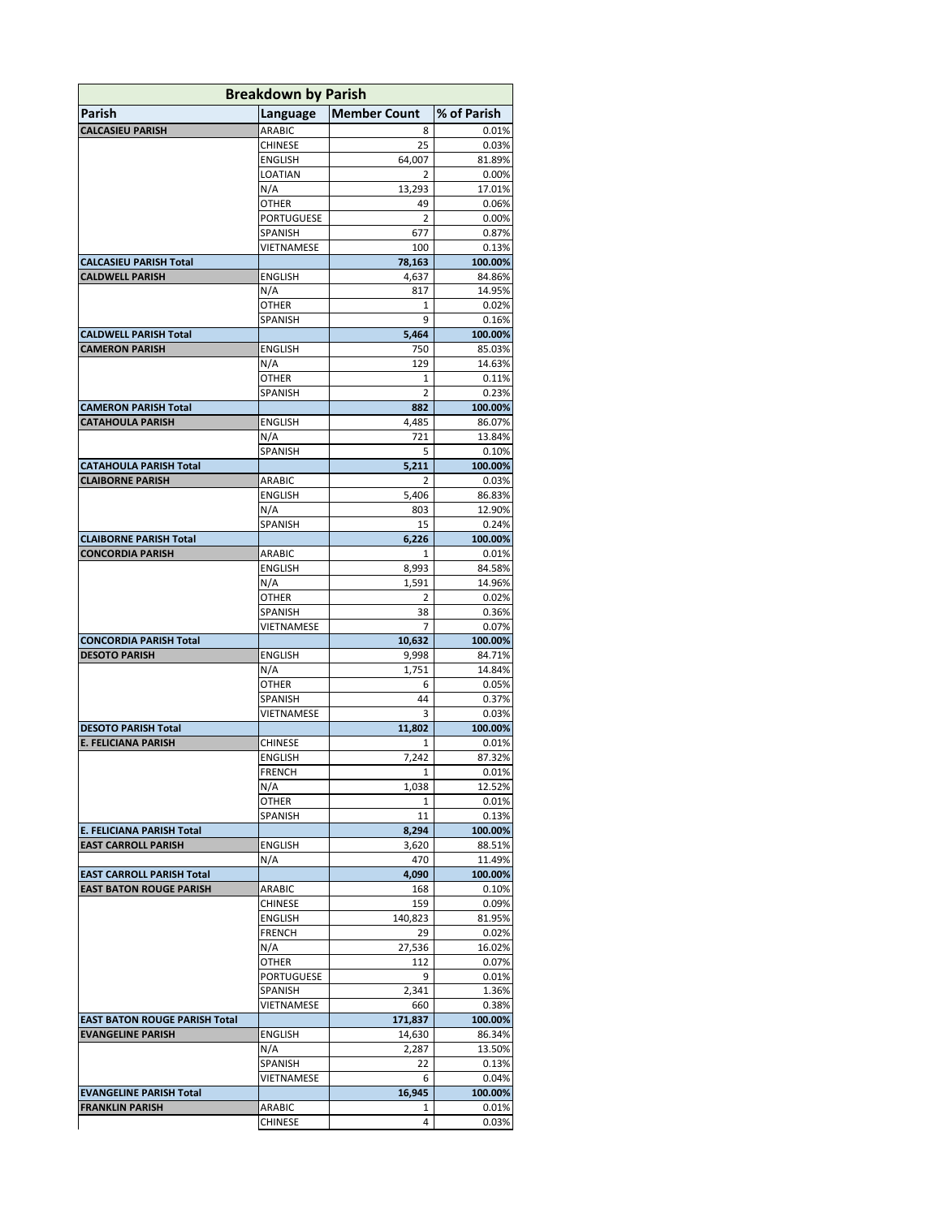| <b>Breakdown by Parish</b>                               |                              |                       |                   |
|----------------------------------------------------------|------------------------------|-----------------------|-------------------|
| Parish                                                   | Language                     | <b>Member Count</b>   | % of Parish       |
| <b>CALCASIEU PARISH</b>                                  | <b>ARABIC</b>                | 8                     | 0.01%             |
|                                                          | <b>CHINESE</b>               | 25                    | 0.03%             |
|                                                          | <b>ENGLISH</b>               | 64,007                | 81.89%            |
|                                                          | LOATIAN                      | $\overline{2}$        | 0.00%             |
|                                                          | N/A                          | 13,293                | 17.01%            |
|                                                          | OTHER                        | 49                    | 0.06%             |
|                                                          | <b>PORTUGUESE</b><br>SPANISH | $\overline{2}$<br>677 | 0.00%<br>0.87%    |
|                                                          | VIETNAMESE                   | 100                   | 0.13%             |
| <b>CALCASIEU PARISH Total</b>                            |                              | 78,163                | 100.00%           |
| <b>CALDWELL PARISH</b>                                   | <b>ENGLISH</b>               | 4,637                 | 84.86%            |
|                                                          | N/A                          | 817                   | 14.95%            |
|                                                          | OTHER                        | 1                     | 0.02%             |
|                                                          | SPANISH                      | 9                     | 0.16%             |
| <b>CALDWELL PARISH Total</b>                             |                              | 5,464                 | 100.00%           |
| <b>CAMERON PARISH</b>                                    | <b>ENGLISH</b>               | 750                   | 85.03%            |
|                                                          | N/A                          | 129                   | 14.63%            |
|                                                          | OTHER<br><b>SPANISH</b>      | 1<br>$\overline{2}$   | 0.11%<br>0.23%    |
| <b>CAMERON PARISH Total</b>                              |                              | 882                   | 100.00%           |
| <b>CATAHOULA PARISH</b>                                  | <b>ENGLISH</b>               | 4,485                 | 86.07%            |
|                                                          | N/A                          | 721                   | 13.84%            |
|                                                          | SPANISH                      | 5                     | 0.10%             |
| <b>CATAHOULA PARISH Total</b>                            |                              | 5,211                 | 100.00%           |
| <b>CLAIBORNE PARISH</b>                                  | ARABIC                       | 2                     | 0.03%             |
|                                                          | <b>ENGLISH</b>               | 5,406                 | 86.83%            |
|                                                          | N/A                          | 803                   | 12.90%            |
|                                                          | SPANISH                      | 15                    | 0.24%<br>100.00%  |
| <b>CLAIBORNE PARISH Total</b><br><b>CONCORDIA PARISH</b> | ARABIC                       | 6,226<br>1            | 0.01%             |
|                                                          | <b>ENGLISH</b>               | 8,993                 | 84.58%            |
|                                                          | N/A                          | 1,591                 | 14.96%            |
|                                                          | OTHER                        | $\overline{2}$        | 0.02%             |
|                                                          | SPANISH                      | 38                    | 0.36%             |
|                                                          | VIETNAMESE                   | 7                     | 0.07%             |
| <b>CONCORDIA PARISH Total</b>                            |                              | 10,632                | 100.00%           |
| <b>DESOTO PARISH</b>                                     | <b>ENGLISH</b>               | 9,998                 | 84.71%            |
|                                                          | N/A                          | 1,751                 | 14.84%            |
|                                                          | OTHER<br>SPANISH             | 6<br>44               | 0.05%<br>0.37%    |
|                                                          | VIETNAMESE                   | 3                     | 0.03%             |
| <b>DESOTO PARISH Total</b>                               |                              | 11,802                | 100.00%           |
| <b>E. FELICIANA PARISH</b>                               | <b>CHINESE</b>               | 1                     | 0.01%             |
|                                                          | <b>ENGLISH</b>               | 7,242                 | 87.32%            |
|                                                          | <b>FRENCH</b>                | $\mathbf{1}$          | 0.01%             |
|                                                          | N/A                          | 1,038                 | 12.52%            |
|                                                          | OTHER                        | 1                     | 0.01%             |
|                                                          | SPANISH                      | 11                    | 0.13%             |
| E. FELICIANA PARISH Total<br><b>EAST CARROLL PARISH</b>  | ENGLISH                      | 8,294<br>3,620        | 100.00%<br>88.51% |
|                                                          | N/A                          | 470                   | 11.49%            |
| <b>EAST CARROLL PARISH Total</b>                         |                              | 4,090                 | 100.00%           |
| <b>EAST BATON ROUGE PARISH</b>                           | ARABIC                       | 168                   | 0.10%             |
|                                                          | CHINESE                      | 159                   | 0.09%             |
|                                                          | <b>ENGLISH</b>               | 140,823               | 81.95%            |
|                                                          | <b>FRENCH</b>                | 29                    | 0.02%             |
|                                                          | N/A                          | 27,536                | 16.02%            |
|                                                          | OTHER                        | 112                   | 0.07%             |
|                                                          | PORTUGUESE<br>SPANISH        | 9                     | 0.01%<br>1.36%    |
|                                                          | VIETNAMESE                   | 2,341<br>660          | 0.38%             |
| <b>EAST BATON ROUGE PARISH Total</b>                     |                              | 171,837               | 100.00%           |
| <b>EVANGELINE PARISH</b>                                 | ENGLISH                      | 14,630                | 86.34%            |
|                                                          | N/A                          | 2,287                 | 13.50%            |
|                                                          | SPANISH                      | 22                    | 0.13%             |
|                                                          | VIETNAMESE                   | 6                     | 0.04%             |
| <b>EVANGELINE PARISH Total</b>                           |                              | 16,945                | 100.00%           |
| <b>FRANKLIN PARISH</b>                                   | ARABIC                       | 1                     | 0.01%             |
|                                                          | CHINESE                      | 4                     | 0.03%             |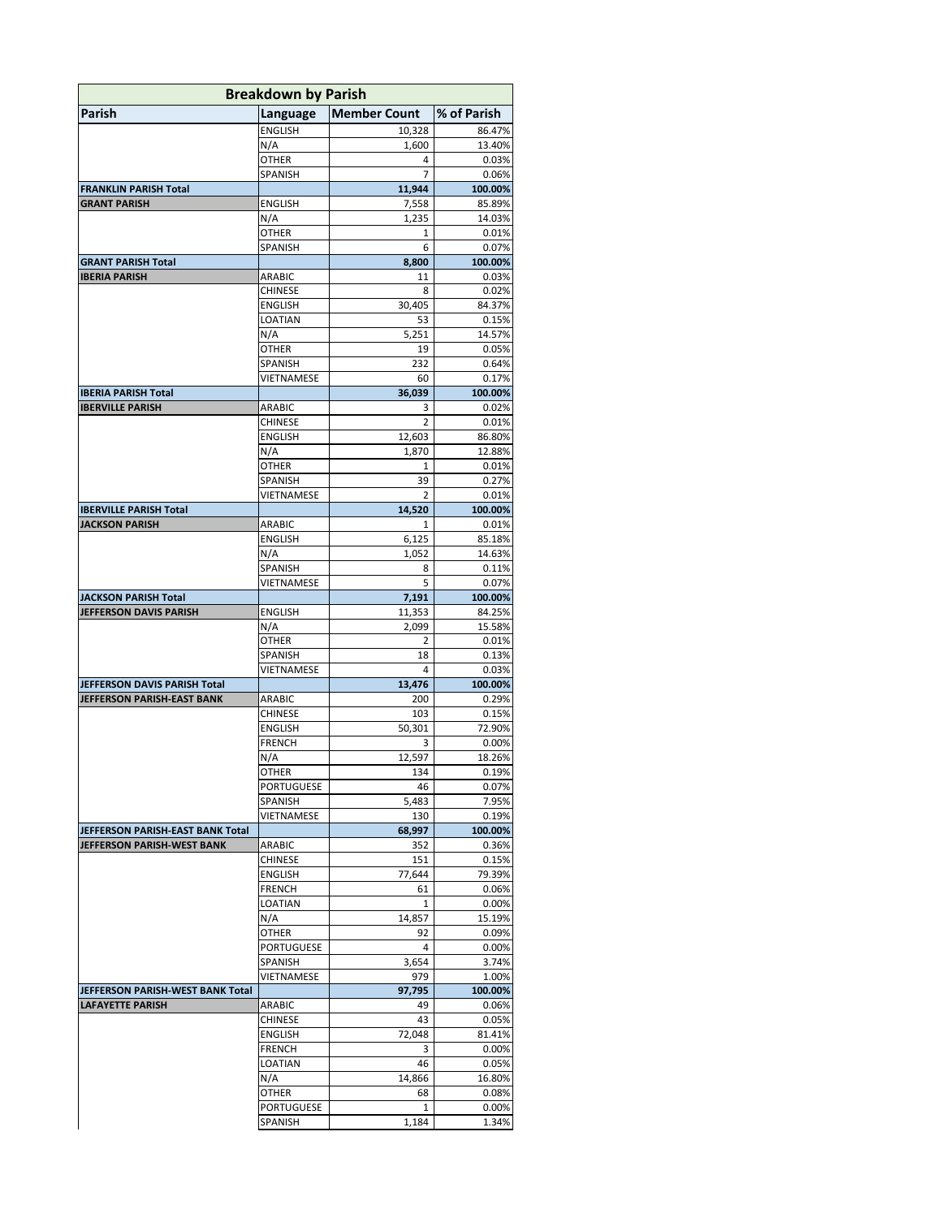| <b>Breakdown by Parish</b>       |                          |                     |                  |  |
|----------------------------------|--------------------------|---------------------|------------------|--|
| Parish                           | Language                 | <b>Member Count</b> | % of Parish      |  |
|                                  | <b>ENGLISH</b>           | 10,328              | 86.47%           |  |
|                                  | N/A                      | 1,600               | 13.40%           |  |
|                                  | <b>OTHER</b>             | 4                   | 0.03%            |  |
|                                  | SPANISH                  | 7                   | 0.06%            |  |
| <b>FRANKLIN PARISH Total</b>     |                          | 11,944              | 100.00%          |  |
| <b>GRANT PARISH</b>              | <b>ENGLISH</b>           | 7,558               | 85.89%           |  |
|                                  | N/A<br>OTHER             | 1,235<br>1          | 14.03%<br>0.01%  |  |
|                                  | SPANISH                  | 6                   | 0.07%            |  |
| <b>GRANT PARISH Total</b>        |                          | 8,800               | 100.00%          |  |
| <b>IBERIA PARISH</b>             | ARABIC                   | 11                  | 0.03%            |  |
|                                  | <b>CHINESE</b>           | 8                   | 0.02%            |  |
|                                  | <b>ENGLISH</b>           | 30,405              | 84.37%           |  |
|                                  | LOATIAN                  | 53                  | 0.15%            |  |
|                                  | N/A                      | 5,251               | 14.57%           |  |
|                                  | OTHER                    | 19                  | 0.05%            |  |
|                                  | SPANISH                  | 232                 | 0.64%            |  |
| <b>IBERIA PARISH Total</b>       | VIETNAMESE               | 60<br>36,039        | 0.17%<br>100.00% |  |
| <b>IBERVILLE PARISH</b>          | <b>ARABIC</b>            | 3                   | 0.02%            |  |
|                                  | <b>CHINESE</b>           | $\overline{2}$      | 0.01%            |  |
|                                  | <b>ENGLISH</b>           | 12,603              | 86.80%           |  |
|                                  | N/A                      | 1.870               | 12.88%           |  |
|                                  | OTHER                    | 1                   | 0.01%            |  |
|                                  | SPANISH                  | 39                  | 0.27%            |  |
|                                  | VIETNAMESE               | $\overline{2}$      | 0.01%            |  |
| <b>IBERVILLE PARISH Total</b>    |                          | 14,520              | 100.00%          |  |
| JACKSON PARISH                   | ARABIC                   | 1                   | 0.01%            |  |
|                                  | <b>ENGLISH</b><br>N/A    | 6,125<br>1,052      | 85.18%<br>14.63% |  |
|                                  | SPANISH                  | 8                   | 0.11%            |  |
|                                  | VIETNAMESE               | 5                   | 0.07%            |  |
| <b>JACKSON PARISH Total</b>      |                          | 7,191               | 100.00%          |  |
| JEFFERSON DAVIS PARISH           | <b>ENGLISH</b>           | 11,353              | 84.25%           |  |
|                                  | N/A                      | 2,099               | 15.58%           |  |
|                                  | OTHER                    | 2                   | 0.01%            |  |
|                                  | SPANISH                  | 18                  | 0.13%            |  |
|                                  | VIETNAMESE               | 4                   | 0.03%            |  |
| JEFFERSON DAVIS PARISH Total     |                          | 13,476              | 100.00%          |  |
| JEFFERSON PARISH-EAST BANK       | ARABIC<br>CHINESE        | 200<br>103          | 0.29%<br>0.15%   |  |
|                                  | <b>ENGLISH</b>           | 50,301              | 72.90%           |  |
|                                  | <b>FRENCH</b>            | 3                   | 0.00%            |  |
|                                  | N/A                      | 12,597              | 18.26%           |  |
|                                  | OTHER                    | 134                 | 0.19%            |  |
|                                  | PORTUGUESE               | 46                  | 0.07%            |  |
|                                  | SPANISH                  | 5,483               | 7.95%            |  |
|                                  | VIETNAMESE               | 130                 | 0.19%            |  |
| JEFFERSON PARISH-EAST BANK Total |                          | 68,997              | 100.00%          |  |
| JEFFERSON PARISH-WEST BANK       | ARABIC                   | 352                 | 0.36%            |  |
|                                  | CHINESE<br>ENGLISH       | 151<br>77,644       | 0.15%<br>79.39%  |  |
|                                  | <b>FRENCH</b>            | 61                  | 0.06%            |  |
|                                  | LOATIAN                  | 1                   | 0.00%            |  |
|                                  | N/A                      | 14,857              | 15.19%           |  |
|                                  | OTHER                    | 92                  | 0.09%            |  |
|                                  | PORTUGUESE               | 4                   | 0.00%            |  |
|                                  | SPANISH                  | 3,654               | 3.74%            |  |
|                                  | VIETNAMESE               | 979                 | 1.00%            |  |
| JEFFERSON PARISH-WEST BANK Total |                          | 97,795              | 100.00%          |  |
| <b>LAFAYETTE PARISH</b>          | ARABIC                   | 49                  | 0.06%            |  |
|                                  | CHINESE                  | 43                  | 0.05%            |  |
|                                  | ENGLISH<br><b>FRENCH</b> | 72,048<br>3         | 81.41%<br>0.00%  |  |
|                                  | LOATIAN                  | 46                  | 0.05%            |  |
|                                  | N/A                      | 14,866              | 16.80%           |  |
|                                  | OTHER                    | 68                  | 0.08%            |  |
|                                  | PORTUGUESE               | 1                   | 0.00%            |  |
|                                  | SPANISH                  | 1,184               | 1.34%            |  |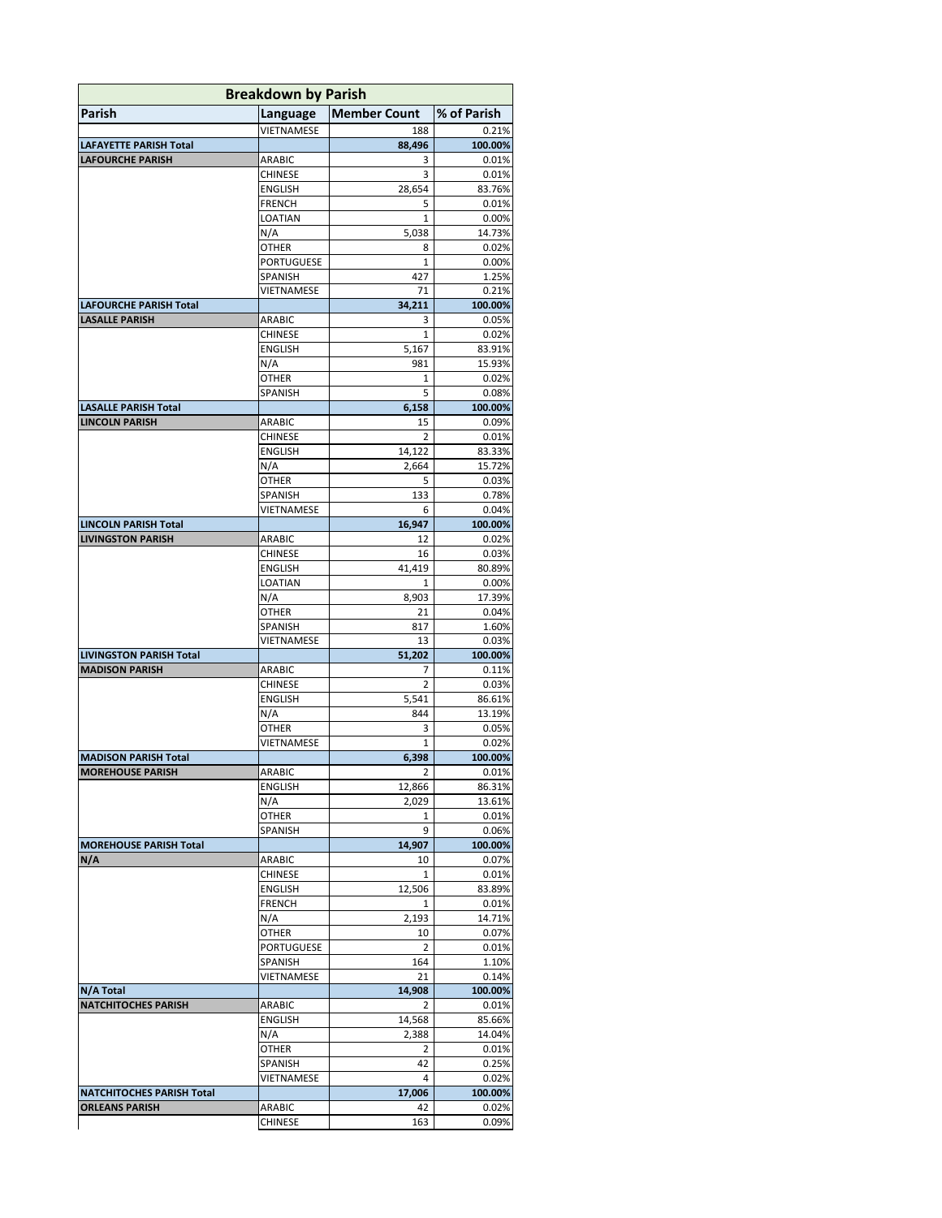| <b>Breakdown by Parish</b>     |                           |                     |                  |
|--------------------------------|---------------------------|---------------------|------------------|
| Parish                         | Language                  | <b>Member Count</b> | % of Parish      |
|                                | VIETNAMESE                | 188                 | 0.21%            |
| LAFAYETTE PARISH Total         |                           | 88,496              | 100.00%          |
| <b>LAFOURCHE PARISH</b>        | ARABIC                    | 3                   | 0.01%            |
|                                | <b>CHINESE</b>            | 3                   | 0.01%            |
|                                | <b>ENGLISH</b>            | 28,654              | 83.76%           |
|                                | <b>FRENCH</b><br>LOATIAN  | 5<br>$\mathbf{1}$   | 0.01%            |
|                                | N/A                       | 5,038               | 0.00%<br>14.73%  |
|                                | OTHER                     | 8                   | 0.02%            |
|                                | PORTUGUESE                | 1                   | 0.00%            |
|                                | SPANISH                   | 427                 | 1.25%            |
|                                | VIETNAMESE                | 71                  | 0.21%            |
| <b>LAFOURCHE PARISH Total</b>  |                           | 34,211              | 100.00%          |
| <b>LASALLE PARISH</b>          | ARABIC                    | 3                   | 0.05%            |
|                                | <b>CHINESE</b>            | 1                   | 0.02%            |
|                                | ENGLISH                   | 5,167               | 83.91%           |
|                                | N/A                       | 981                 | 15.93%           |
|                                | OTHER                     | 1                   | 0.02%            |
|                                | SPANISH                   | 5                   | 0.08%            |
| <b>LASALLE PARISH Total</b>    |                           | 6,158               | 100.00%          |
| <b>LINCOLN PARISH</b>          | ARABIC                    | 15                  | 0.09%            |
|                                | <b>CHINESE</b>            | $\overline{2}$      | 0.01%            |
|                                | ENGLISH<br>N/A            | 14,122              | 83.33%<br>15.72% |
|                                | OTHER                     | 2,664<br>5          | 0.03%            |
|                                | SPANISH                   | 133                 | 0.78%            |
|                                | VIETNAMESE                | 6                   | 0.04%            |
| <b>LINCOLN PARISH Total</b>    |                           | 16,947              | 100.00%          |
| <b>LIVINGSTON PARISH</b>       | ARABIC                    | 12                  | 0.02%            |
|                                | CHINESE                   | 16                  | 0.03%            |
|                                | <b>ENGLISH</b>            | 41,419              | 80.89%           |
|                                | LOATIAN                   | 1                   | 0.00%            |
|                                | N/A                       | 8,903               | 17.39%           |
|                                | OTHER                     | 21                  | 0.04%            |
|                                | SPANISH                   | 817                 | 1.60%            |
|                                | VIETNAMESE                | 13                  | 0.03%            |
| <b>LIVINGSTON PARISH Total</b> |                           | 51,202              | 100.00%          |
| <b>MADISON PARISH</b>          | ARABIC                    | 7                   | 0.11%            |
|                                | <b>CHINESE</b><br>ENGLISH | $\overline{2}$      | 0.03%<br>86.61%  |
|                                | N/A                       | 5,541<br>844        | 13.19%           |
|                                | OTHER                     | 3                   | 0.05%            |
|                                | VIETNAMESE                | 1                   | 0.02%            |
| <b>MADISON PARISH Total</b>    |                           | 6,398               | 100.00%          |
| <b>MOREHOUSE PARISH</b>        | <b>ARABIC</b>             | $\mathcal{P}$       | 0.01%            |
|                                | <b>ENGLISH</b>            | 12,866              | 86.31%           |
|                                | N/A                       | 2,029               | 13.61%           |
|                                | OTHER                     | 1                   | 0.01%            |
|                                | SPANISH                   | 9                   | 0.06%            |
| <b>MOREHOUSE PARISH Total</b>  |                           | 14,907              | 100.00%          |
| N/A                            | ARABIC                    | 10                  | 0.07%            |
|                                | CHINESE                   | 1                   | 0.01%            |
|                                | <b>ENGLISH</b>            | 12,506              | 83.89%           |
|                                | FRENCH                    | 1                   | 0.01%            |
|                                | N/A                       | 2,193               | 14.71%           |
|                                | OTHER                     | 10<br>2             | 0.07%<br>0.01%   |
|                                | PORTUGUESE<br>SPANISH     | 164                 | 1.10%            |
|                                | VIETNAMESE                | 21                  | 0.14%            |
| N/A Total                      |                           | 14,908              | 100.00%          |
| <b>NATCHITOCHES PARISH</b>     | ARABIC                    | 2                   | 0.01%            |
|                                | <b>ENGLISH</b>            | 14,568              | 85.66%           |
|                                | N/A                       | 2,388               | 14.04%           |
|                                | OTHER                     | 2                   | 0.01%            |
|                                | SPANISH                   | 42                  | 0.25%            |
|                                | VIETNAMESE                | 4                   | 0.02%            |
| NATCHITOCHES PARISH Total      |                           | 17,006              | 100.00%          |
| ORLEANS PARISH                 | ARABIC                    | 42                  | 0.02%            |
|                                | CHINESE                   | 163                 | 0.09%            |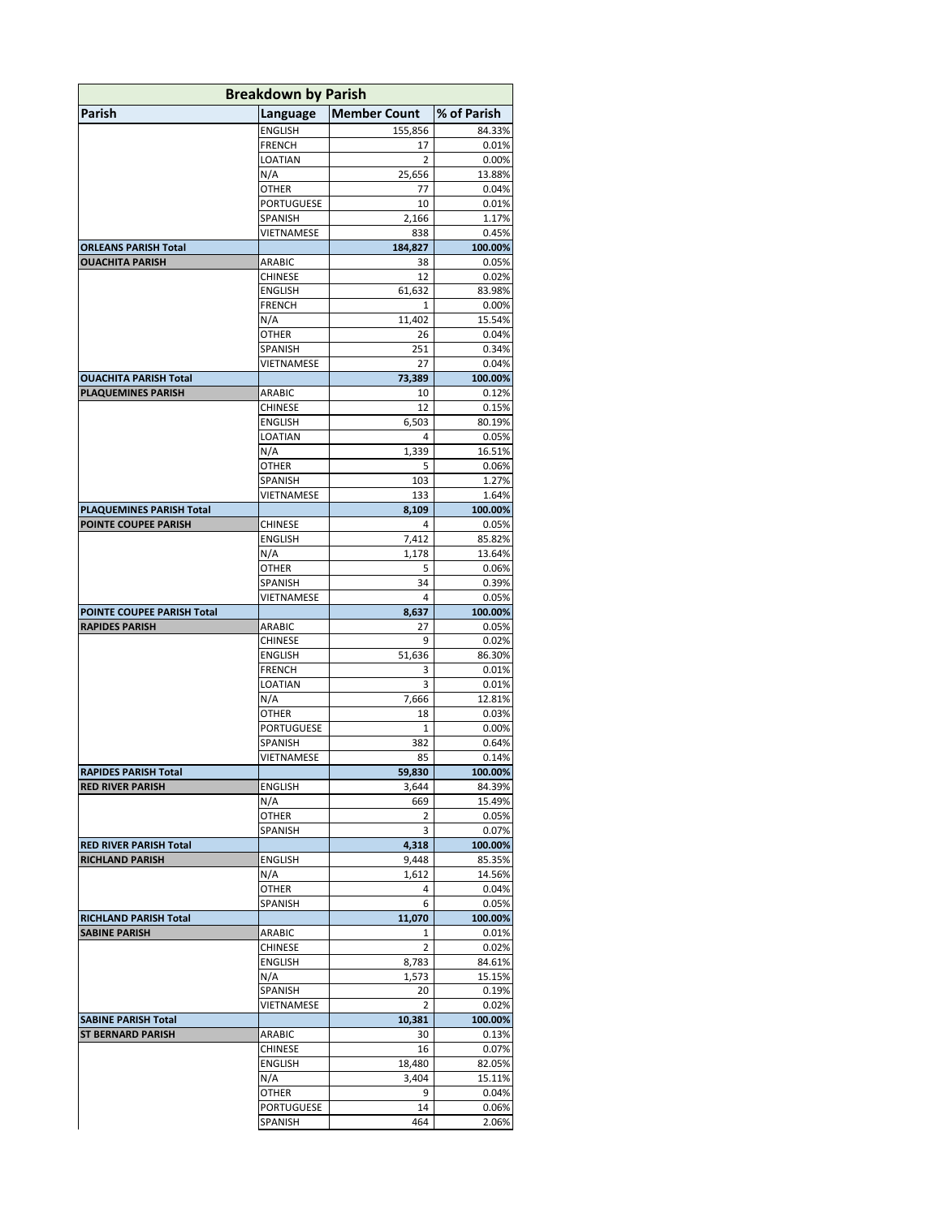| <b>Breakdown by Parish</b>                            |                           |                     |                  |
|-------------------------------------------------------|---------------------------|---------------------|------------------|
| Parish                                                | Language                  | <b>Member Count</b> | % of Parish      |
|                                                       | ENGLISH                   | 155,856             | 84.33%           |
|                                                       | FRENCH                    | 17                  | 0.01%            |
|                                                       | LOATIAN                   | 2                   | 0.00%            |
|                                                       | N/A                       | 25,656              | 13.88%           |
|                                                       | OTHER                     | 77                  | 0.04%            |
|                                                       | PORTUGUESE                | 10                  | 0.01%            |
|                                                       | SPANISH                   | 2,166               | 1.17%            |
|                                                       | VIETNAMESE                | 838                 | 0.45%            |
| <b>ORLEANS PARISH Total</b><br><b>OUACHITA PARISH</b> | ARABIC                    | 184,827<br>38       | 100.00%<br>0.05% |
|                                                       | CHINESE                   | 12                  | 0.02%            |
|                                                       | ENGLISH                   | 61,632              | 83.98%           |
|                                                       | <b>FRENCH</b>             | 1                   | 0.00%            |
|                                                       | N/A                       | 11,402              | 15.54%           |
|                                                       | OTHER                     | 26                  | 0.04%            |
|                                                       | SPANISH                   | 251                 | 0.34%            |
|                                                       | VIETNAMESE                | 27                  | 0.04%            |
| <b>OUACHITA PARISH Total</b>                          |                           | 73,389              | 100.00%          |
| <b>PLAQUEMINES PARISH</b>                             | ARABIC                    | 10                  | 0.12%            |
|                                                       | CHINESE                   | 12                  | 0.15%            |
|                                                       | <b>ENGLISH</b>            | 6,503               | 80.19%           |
|                                                       | LOATIAN                   | 4                   | 0.05%            |
|                                                       | N/A<br>OTHER              | 1,339<br>5          | 16.51%           |
|                                                       | SPANISH                   | 103                 | 0.06%<br>1.27%   |
|                                                       | VIETNAMESE                | 133                 | 1.64%            |
| PLAQUEMINES PARISH Total                              |                           | 8,109               | 100.00%          |
| POINTE COUPEE PARISH                                  | CHINESE                   | 4                   | 0.05%            |
|                                                       | <b>ENGLISH</b>            | 7,412               | 85.82%           |
|                                                       | N/A                       | 1,178               | 13.64%           |
|                                                       | OTHER                     | 5                   | 0.06%            |
|                                                       | SPANISH                   | 34                  | 0.39%            |
|                                                       | VIETNAMESE                | 4                   | 0.05%            |
| POINTE COUPEE PARISH Total                            |                           | 8,637               | 100.00%          |
| <b>RAPIDES PARISH</b>                                 | ARABIC                    | 27                  | 0.05%            |
|                                                       | CHINESE<br><b>ENGLISH</b> | 9                   | 0.02%            |
|                                                       | <b>FRENCH</b>             | 51,636<br>3         | 86.30%<br>0.01%  |
|                                                       | LOATIAN                   | 3                   | 0.01%            |
|                                                       | N/A                       | 7,666               | 12.81%           |
|                                                       | <b>OTHER</b>              | 18                  | 0.03%            |
|                                                       | PORTUGUESE                | 1                   | 0.00%            |
|                                                       | SPANISH                   | 382                 | 0.64%            |
|                                                       | VIETNAMESE                | 85                  | 0.14%            |
| <b>RAPIDES PARISH Total</b>                           |                           | 59,830              | 100.00%          |
| <b>RED RIVER PARISH</b>                               | <b>ENGLISH</b>            | 3,644               | 84.39%           |
|                                                       | N/A                       | 669                 | 15.49%           |
|                                                       | OTHER                     | 2                   | 0.05%            |
|                                                       | SPANISH                   | 3                   | 0.07%            |
| <b>RED RIVER PARISH Total</b>                         |                           | 4,318               | 100.00%          |
| <b>RICHLAND PARISH</b>                                | ENGLISH                   | 9,448               | 85.35%           |
|                                                       | N/A<br><b>OTHER</b>       | 1,612<br>4          | 14.56%<br>0.04%  |
|                                                       | SPANISH                   | 6                   | 0.05%            |
| <b>RICHLAND PARISH Total</b>                          |                           | 11,070              | 100.00%          |
| <b>SABINE PARISH</b>                                  | ARABIC                    | 1                   | 0.01%            |
|                                                       | CHINESE                   | 2                   | 0.02%            |
|                                                       | ENGLISH                   | 8,783               | 84.61%           |
|                                                       | N/A                       | 1,573               | 15.15%           |
|                                                       | SPANISH                   | 20                  | 0.19%            |
|                                                       | VIETNAMESE                | 2                   | 0.02%            |
| <b>SABINE PARISH Total</b>                            |                           | 10,381              | 100.00%          |
| <b>ST BERNARD PARISH</b>                              | ARABIC                    | 30                  | 0.13%            |
|                                                       | CHINESE                   | 16                  | 0.07%            |
|                                                       | ENGLISH                   | 18,480              | 82.05%           |
|                                                       | N/A                       | 3,404               | 15.11%           |
|                                                       | OTHER                     | 9<br>14             | 0.04%            |
|                                                       | PORTUGUESE<br>SPANISH     | 464                 | 0.06%<br>2.06%   |
|                                                       |                           |                     |                  |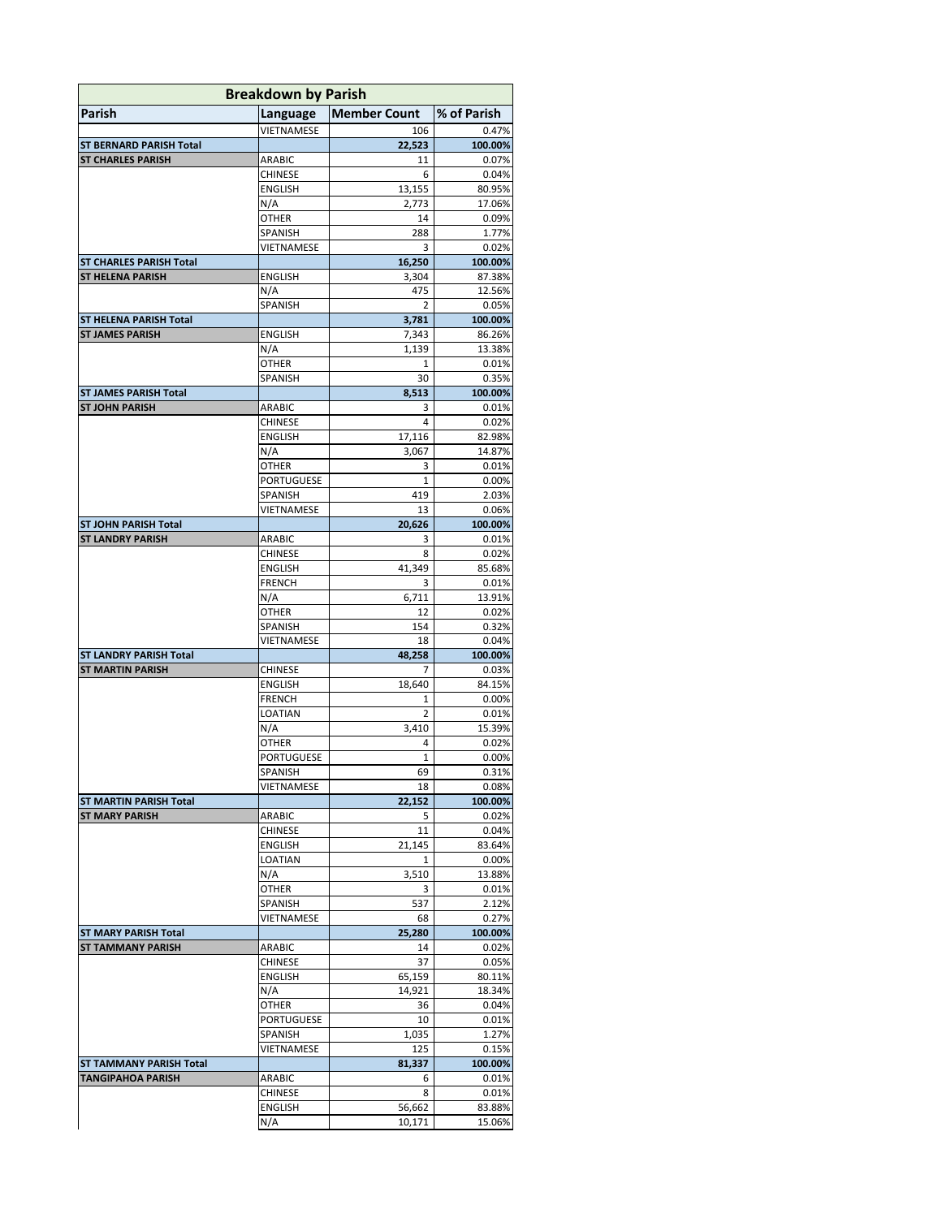| <b>Breakdown by Parish</b>                               |                           |                     |                   |  |
|----------------------------------------------------------|---------------------------|---------------------|-------------------|--|
| Parish                                                   | Language                  | <b>Member Count</b> | % of Parish       |  |
|                                                          | VIETNAMESE                | 106                 | 0.47%             |  |
| <b>ST BERNARD PARISH Total</b>                           |                           | 22,523              | 100.00%           |  |
| <b>ST CHARLES PARISH</b>                                 | ARABIC                    | 11                  | 0.07%             |  |
|                                                          | CHINESE                   | 6                   | 0.04%             |  |
|                                                          | <b>ENGLISH</b><br>N/A     | 13,155<br>2,773     | 80.95%<br>17.06%  |  |
|                                                          | OTHER                     | 14                  | 0.09%             |  |
|                                                          | SPANISH                   | 288                 | 1.77%             |  |
|                                                          | VIETNAMESE                | 3                   | 0.02%             |  |
| <b>ST CHARLES PARISH Total</b>                           |                           | 16,250              | 100.00%           |  |
| <b>ST HELENA PARISH</b>                                  | ENGLISH                   | 3,304               | 87.38%            |  |
|                                                          | N/A                       | 475                 | 12.56%            |  |
|                                                          | <b>SPANISH</b>            | 2                   | 0.05%             |  |
| <b>ST HELENA PARISH Total</b><br><b>ST JAMES PARISH</b>  | <b>ENGLISH</b>            | 3,781<br>7,343      | 100.00%<br>86.26% |  |
|                                                          | N/A                       | 1,139               | 13.38%            |  |
|                                                          | OTHER                     | 1                   | 0.01%             |  |
|                                                          | SPANISH                   | 30                  | 0.35%             |  |
| <b>ST JAMES PARISH Total</b>                             |                           | 8.513               | 100.00%           |  |
| <b>ST JOHN PARISH</b>                                    | ARABIC                    | 3                   | 0.01%             |  |
|                                                          | <b>CHINESE</b>            | 4                   | 0.02%             |  |
|                                                          | <b>ENGLISH</b>            | 17,116              | 82.98%            |  |
|                                                          | N/A                       | 3,067               | 14.87%            |  |
|                                                          | OTHER                     | 3                   | 0.01%             |  |
|                                                          | PORTUGUESE                | 1                   | $0.00\%$          |  |
|                                                          | SPANISH<br>VIETNAMESE     | 419<br>13           | 2.03%<br>0.06%    |  |
| <b>ST JOHN PARISH Total</b>                              |                           | 20,626              | 100.00%           |  |
| <b>ST LANDRY PARISH</b>                                  | ARABIC                    | 3                   | 0.01%             |  |
|                                                          | CHINESE                   | 8                   | 0.02%             |  |
|                                                          | <b>ENGLISH</b>            | 41,349              | 85.68%            |  |
|                                                          | <b>FRENCH</b>             | 3                   | 0.01%             |  |
|                                                          | N/A                       | 6,711               | 13.91%            |  |
|                                                          | OTHER                     | 12                  | 0.02%             |  |
|                                                          | SPANISH                   | 154                 | 0.32%             |  |
|                                                          | VIETNAMESE                | 18                  | 0.04%             |  |
| <b>ST LANDRY PARISH Total</b><br><b>ST MARTIN PARISH</b> |                           | 48,258              | 100.00%           |  |
|                                                          | CHINESE<br><b>ENGLISH</b> | 7<br>18,640         | 0.03%<br>84.15%   |  |
|                                                          | <b>FRENCH</b>             | 1                   | 0.00%             |  |
|                                                          | LOATIAN                   | $\overline{2}$      | 0.01%             |  |
|                                                          | N/A                       | 3,410               | 15.39%            |  |
|                                                          | OTHER                     | 4                   | 0.02%             |  |
|                                                          | PORTUGUESE                | 1                   | 0.00%             |  |
|                                                          | SPANISH                   | 69                  | 0.31%             |  |
|                                                          | VIETNAMESE                | 18                  | 0.08%             |  |
| <b>ST MARTIN PARISH Total</b>                            |                           | 22,152              | 100.00%           |  |
| <b>ST MARY PARISH</b>                                    | ARABIC                    | 5                   | 0.02%             |  |
|                                                          | CHINESE<br>ENGLISH        | 11<br>21,145        | 0.04%<br>83.64%   |  |
|                                                          | LOATIAN                   | 1                   | 0.00%             |  |
|                                                          | N/A                       | 3,510               | 13.88%            |  |
|                                                          | OTHER                     | 3                   | 0.01%             |  |
|                                                          | SPANISH                   | 537                 | 2.12%             |  |
|                                                          | VIETNAMESE                | 68                  | 0.27%             |  |
| <b>ST MARY PARISH Total</b>                              |                           | 25,280              | 100.00%           |  |
| <b>ST TAMMANY PARISH</b>                                 | ARABIC                    | 14                  | 0.02%             |  |
|                                                          | CHINESE                   | 37                  | 0.05%             |  |
|                                                          | ENGLISH                   | 65,159              | 80.11%            |  |
|                                                          | N/A<br>OTHER              | 14,921<br>36        | 18.34%<br>0.04%   |  |
|                                                          | PORTUGUESE                | 10                  | 0.01%             |  |
|                                                          | SPANISH                   | 1,035               | 1.27%             |  |
|                                                          | VIETNAMESE                | 125                 | 0.15%             |  |
| <b>ST TAMMANY PARISH Total</b>                           |                           | 81,337              | 100.00%           |  |
| <b>TANGIPAHOA PARISH</b>                                 | ARABIC                    | 6                   | 0.01%             |  |
|                                                          | CHINESE                   | 8                   | 0.01%             |  |
|                                                          | ENGLISH                   | 56,662              | 83.88%            |  |
|                                                          | N/A                       | 10,171              | 15.06%            |  |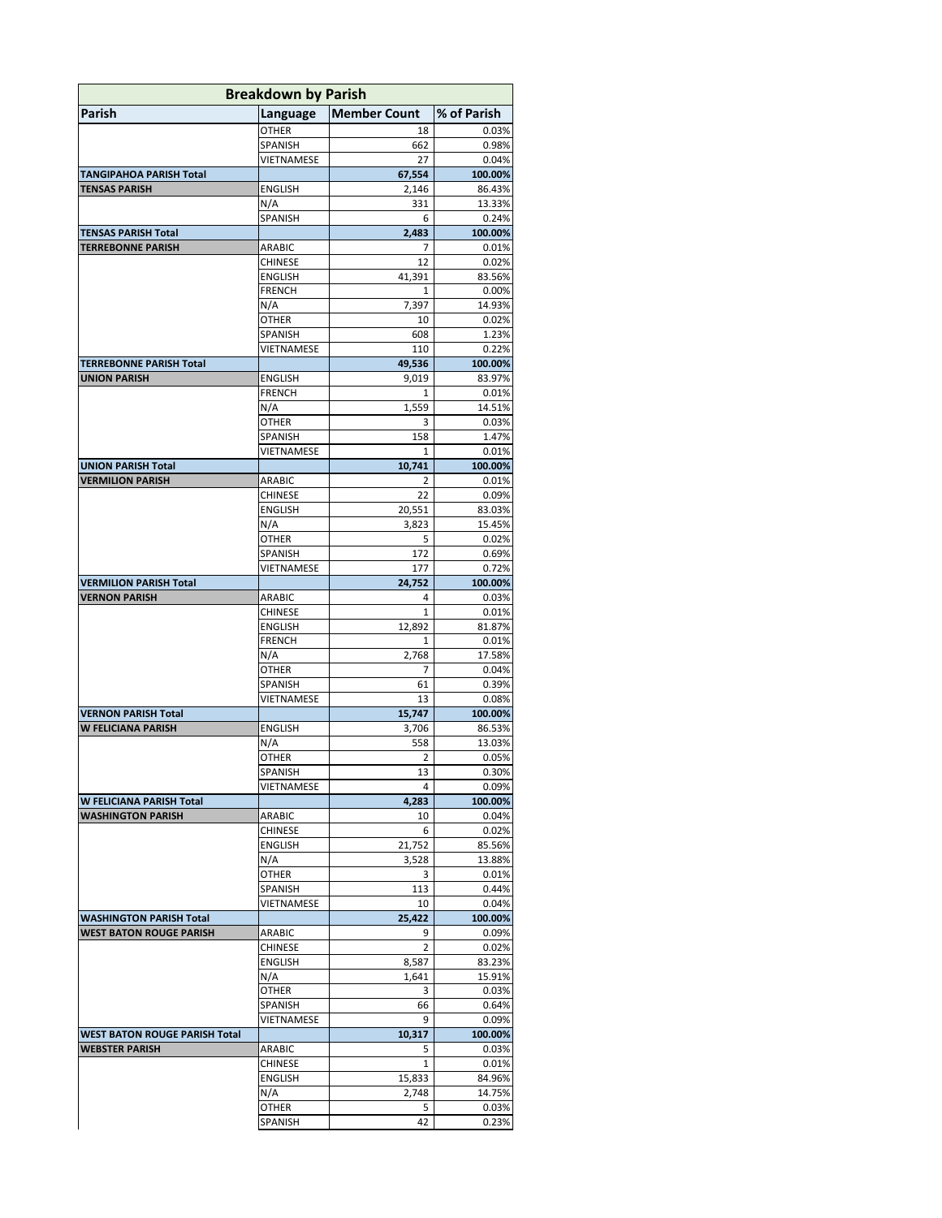| <b>Breakdown by Parish</b>                           |                          |                     |                  |
|------------------------------------------------------|--------------------------|---------------------|------------------|
| <b>Parish</b>                                        | Language                 | <b>Member Count</b> | % of Parish      |
|                                                      | OTHER                    | 18                  | 0.03%            |
|                                                      | SPANISH                  | 662                 | 0.98%            |
|                                                      | VIETNAMESE               | 27                  | 0.04%            |
| <b>TANGIPAHOA PARISH Total</b>                       |                          | 67,554              | 100.00%          |
| <b>TENSAS PARISH</b>                                 | <b>ENGLISH</b>           | 2,146               | 86.43%           |
|                                                      | N/A<br>SPANISH           | 331<br>6            | 13.33%<br>0.24%  |
| <b>TENSAS PARISH Total</b>                           |                          | 2,483               | 100.00%          |
| <b>TERREBONNE PARISH</b>                             | ARABIC                   | 7                   | 0.01%            |
|                                                      | <b>CHINESE</b>           | 12                  | 0.02%            |
|                                                      | <b>ENGLISH</b>           | 41,391              | 83.56%           |
|                                                      | <b>FRENCH</b>            | $\mathbf{1}$        | 0.00%            |
|                                                      | N/A                      | 7,397               | 14.93%           |
|                                                      | OTHER                    | 10                  | 0.02%            |
|                                                      | SPANISH<br>VIETNAMESE    | 608<br>110          | 1.23%<br>0.22%   |
| <b>TERREBONNE PARISH Total</b>                       |                          | 49,536              | 100.00%          |
| <b>UNION PARISH</b>                                  | <b>ENGLISH</b>           | 9,019               | 83.97%           |
|                                                      | <b>FRENCH</b>            | 1                   | 0.01%            |
|                                                      | N/A                      | 1,559               | 14.51%           |
|                                                      | <b>OTHER</b>             | 3                   | 0.03%            |
|                                                      | SPANISH                  | 158                 | 1.47%            |
|                                                      | VIETNAMESE               | 1                   | 0.01%            |
| <b>UNION PARISH Total</b><br><b>VERMILION PARISH</b> | ARABIC                   | 10,741<br>2         | 100.00%<br>0.01% |
|                                                      | <b>CHINESE</b>           | 22                  | 0.09%            |
|                                                      | <b>ENGLISH</b>           | 20,551              | 83.03%           |
|                                                      | N/A                      | 3,823               | 15.45%           |
|                                                      | OTHER                    | 5                   | 0.02%            |
|                                                      | SPANISH                  | 172                 | 0.69%            |
|                                                      | VIETNAMESE               | 177                 | 0.72%            |
| <b>VERMILION PARISH Total</b>                        |                          | 24,752<br>4         | 100.00%          |
| <b>VERNON PARISH</b>                                 | ARABIC<br><b>CHINESE</b> | 1                   | 0.03%<br>0.01%   |
|                                                      | ENGLISH                  | 12,892              | 81.87%           |
|                                                      | <b>FRENCH</b>            | 1                   | 0.01%            |
|                                                      | N/A                      | 2,768               | 17.58%           |
|                                                      | OTHER                    | 7                   | 0.04%            |
|                                                      | SPANISH                  | 61                  | 0.39%            |
|                                                      | VIETNAMESE               | 13                  | 0.08%            |
| <b>VERNON PARISH Total</b>                           |                          | 15,747              | 100.00%          |
| <b>W FELICIANA PARISH</b>                            | ENGLISH<br>N/A           | 3,706<br>558        | 86.53%<br>13.03% |
|                                                      | OTHER                    | 2                   | 0.05%            |
|                                                      | SPANISH                  | 13                  | 0.30%            |
|                                                      | VIETNAMESE               | 4                   | 0.09%            |
| W FELICIANA PARISH Total                             |                          | 4,283               | 100.00%          |
| <b>WASHINGTON PARISH</b>                             | ARABIC                   | 10                  | 0.04%            |
|                                                      | <b>CHINESE</b>           | 6                   | 0.02%            |
|                                                      | ENGLISH<br>N/A           | 21,752<br>3,528     | 85.56%           |
|                                                      | <b>OTHER</b>             | 3                   | 13.88%<br>0.01%  |
|                                                      | SPANISH                  | 113                 | 0.44%            |
|                                                      | VIETNAMESE               | 10                  | 0.04%            |
| <b>WASHINGTON PARISH Total</b>                       |                          | 25,422              | 100.00%          |
| <b>WEST BATON ROUGE PARISH</b>                       | ARABIC                   | 9                   | 0.09%            |
|                                                      | CHINESE                  | 2                   | 0.02%            |
|                                                      | <b>ENGLISH</b>           | 8,587               | 83.23%           |
|                                                      | N/A                      | 1,641               | 15.91%           |
|                                                      | OTHER<br>SPANISH         | 3<br>66             | 0.03%            |
|                                                      | VIETNAMESE               | 9                   | 0.64%<br>0.09%   |
| WEST BATON ROUGE PARISH Total                        |                          | 10,317              | 100.00%          |
| <b>WEBSTER PARISH</b>                                | ARABIC                   | 5                   | 0.03%            |
|                                                      | CHINESE                  | 1                   | 0.01%            |
|                                                      | ENGLISH                  | 15,833              | 84.96%           |
|                                                      | N/A                      | 2,748               | 14.75%           |
|                                                      | OTHER                    | 5                   | 0.03%            |
|                                                      | SPANISH                  | 42                  | 0.23%            |